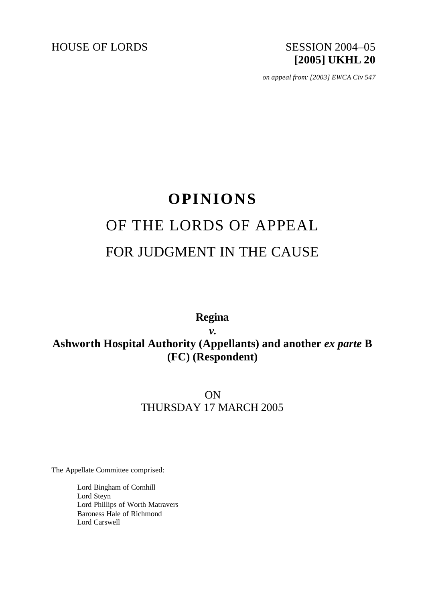

*on appeal from: [2003] EWCA Civ 547*

# **OPINIONS** OF THE LORDS OF APPEAL FOR JUDGMENT IN THE CAUSE

**Regina**

*v.* Ashworth Hospital Authority (Appellants) and another *ex parte* **B (FC) (Respondent)**

> ON THURSDAY 17 MARCH 2005

The Appellate Committee comprised:

Lord Bingham of Cornhill Lord Steyn Lord Phillips of Worth Matravers Baroness Hale of Richmond Lord Carswell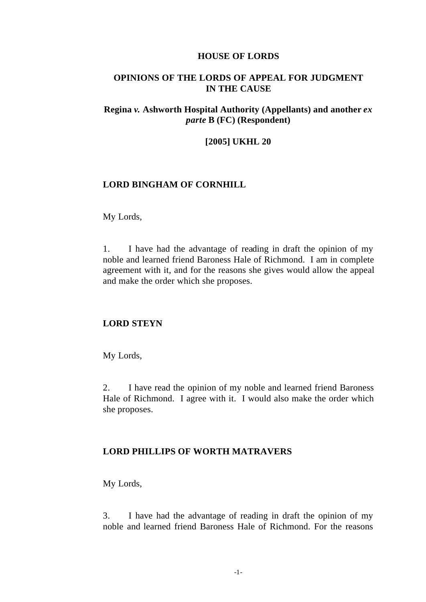## **HOUSE OF LORDS**

# **OPINIONS OF THE LORDS OF APPEAL FOR JUDGMENT IN THE CAUSE**

# **Regina** *v.* **Ashworth Hospital Authority (Appellants) and another** *ex parte* **B (FC) (Respondent)**

#### **[2005] UKHL 20**

## **LORD BINGHAM OF CORNHILL**

My Lords,

1. I have had the advantage of reading in draft the opinion of my noble and learned friend Baroness Hale of Richmond. I am in complete agreement with it, and for the reasons she gives would allow the appeal and make the order which she proposes.

## **LORD STEYN**

My Lords,

2. I have read the opinion of my noble and learned friend Baroness Hale of Richmond. I agree with it. I would also make the order which she proposes.

## **LORD PHILLIPS OF WORTH MATRAVERS**

My Lords,

3. I have had the advantage of reading in draft the opinion of my noble and learned friend Baroness Hale of Richmond. For the reasons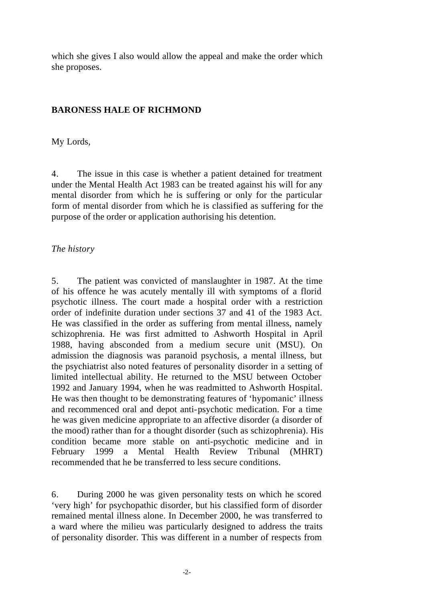which she gives I also would allow the appeal and make the order which she proposes.

# **BARONESS HALE OF RICHMOND**

My Lords,

4. The issue in this case is whether a patient detained for treatment under the Mental Health Act 1983 can be treated against his will for any mental disorder from which he is suffering or only for the particular form of mental disorder from which he is classified as suffering for the purpose of the order or application authorising his detention.

# *The history*

5. The patient was convicted of manslaughter in 1987. At the time of his offence he was acutely mentally ill with symptoms of a florid psychotic illness. The court made a hospital order with a restriction order of indefinite duration under sections 37 and 41 of the 1983 Act. He was classified in the order as suffering from mental illness, namely schizophrenia. He was first admitted to Ashworth Hospital in April 1988, having absconded from a medium secure unit (MSU). On admission the diagnosis was paranoid psychosis, a mental illness, but the psychiatrist also noted features of personality disorder in a setting of limited intellectual ability. He returned to the MSU between October 1992 and January 1994, when he was readmitted to Ashworth Hospital. He was then thought to be demonstrating features of 'hypomanic' illness and recommenced oral and depot anti-psychotic medication. For a time he was given medicine appropriate to an affective disorder (a disorder of the mood) rather than for a thought disorder (such as schizophrenia). His condition became more stable on anti-psychotic medicine and in February 1999 a Mental Health Review Tribunal (MHRT) recommended that he be transferred to less secure conditions.

6. During 2000 he was given personality tests on which he scored 'very high' for psychopathic disorder, but his classified form of disorder remained mental illness alone. In December 2000, he was transferred to a ward where the milieu was particularly designed to address the traits of personality disorder. This was different in a number of respects from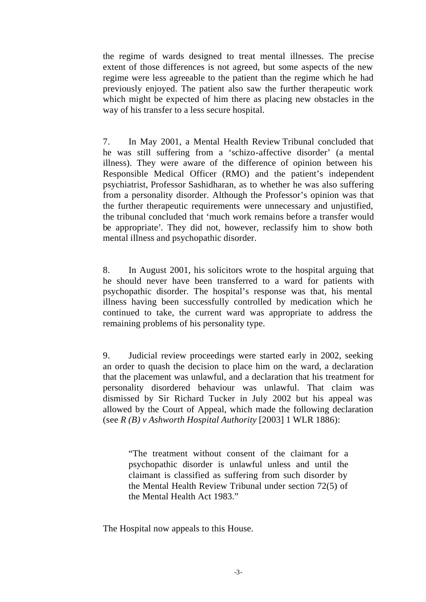the regime of wards designed to treat mental illnesses. The precise extent of those differences is not agreed, but some aspects of the new regime were less agreeable to the patient than the regime which he had previously enjoyed. The patient also saw the further therapeutic work which might be expected of him there as placing new obstacles in the way of his transfer to a less secure hospital.

7. In May 2001, a Mental Health Review Tribunal concluded that he was still suffering from a 'schizo-affective disorder' (a mental illness). They were aware of the difference of opinion between his Responsible Medical Officer (RMO) and the patient's independent psychiatrist, Professor Sashidharan, as to whether he was also suffering from a personality disorder. Although the Professor's opinion was that the further therapeutic requirements were unnecessary and unjustified, the tribunal concluded that 'much work remains before a transfer would be appropriate'. They did not, however, reclassify him to show both mental illness and psychopathic disorder.

8. In August 2001, his solicitors wrote to the hospital arguing that he should never have been transferred to a ward for patients with psychopathic disorder. The hospital's response was that, his mental illness having been successfully controlled by medication which he continued to take, the current ward was appropriate to address the remaining problems of his personality type.

9. Judicial review proceedings were started early in 2002, seeking an order to quash the decision to place him on the ward, a declaration that the placement was unlawful, and a declaration that his treatment for personality disordered behaviour was unlawful. That claim was dismissed by Sir Richard Tucker in July 2002 but his appeal was allowed by the Court of Appeal, which made the following declaration (see *R (B) v Ashworth Hospital Authority* [2003] 1 WLR 1886):

"The treatment without consent of the claimant for a psychopathic disorder is unlawful unless and until the claimant is classified as suffering from such disorder by the Mental Health Review Tribunal under section 72(5) of the Mental Health Act 1983."

The Hospital now appeals to this House.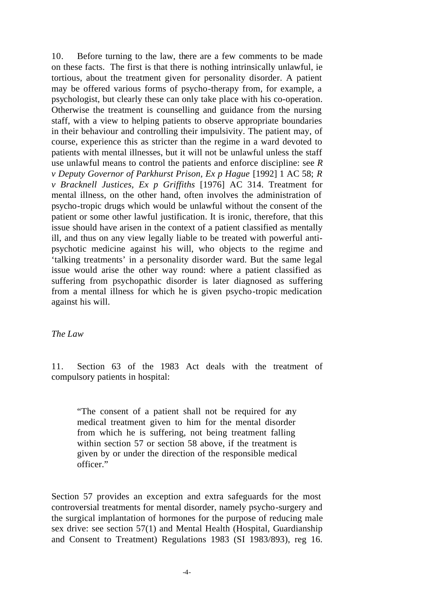10. Before turning to the law, there are a few comments to be made on these facts. The first is that there is nothing intrinsically unlawful, ie tortious, about the treatment given for personality disorder. A patient may be offered various forms of psycho-therapy from, for example, a psychologist, but clearly these can only take place with his co-operation. Otherwise the treatment is counselling and guidance from the nursing staff, with a view to helping patients to observe appropriate boundaries in their behaviour and controlling their impulsivity. The patient may, of course, experience this as stricter than the regime in a ward devoted to patients with mental illnesses, but it will not be unlawful unless the staff use unlawful means to control the patients and enforce discipline: see *R v Deputy Governor of Parkhurst Prison, Ex p Hague* [1992] 1 AC 58; *R v Bracknell Justices, Ex p Griffiths* [1976] AC 314. Treatment for mental illness, on the other hand, often involves the administration of psycho-tropic drugs which would be unlawful without the consent of the patient or some other lawful justification. It is ironic, therefore, that this issue should have arisen in the context of a patient classified as mentally ill, and thus on any view legally liable to be treated with powerful antipsychotic medicine against his will, who objects to the regime and 'talking treatments' in a personality disorder ward. But the same legal issue would arise the other way round: where a patient classified as suffering from psychopathic disorder is later diagnosed as suffering from a mental illness for which he is given psycho-tropic medication against his will.

## *The Law*

11. Section 63 of the 1983 Act deals with the treatment of compulsory patients in hospital:

"The consent of a patient shall not be required for any medical treatment given to him for the mental disorder from which he is suffering, not being treatment falling within section 57 or section 58 above, if the treatment is given by or under the direction of the responsible medical officer."

Section 57 provides an exception and extra safeguards for the most controversial treatments for mental disorder, namely psycho-surgery and the surgical implantation of hormones for the purpose of reducing male sex drive: see section 57(1) and Mental Health (Hospital, Guardianship and Consent to Treatment) Regulations 1983 (SI 1983/893), reg 16.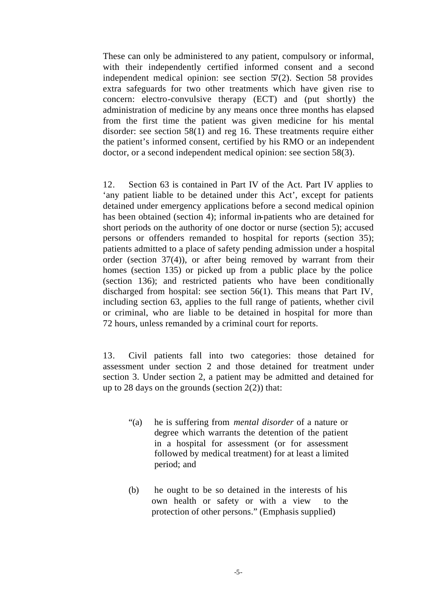These can only be administered to any patient, compulsory or informal, with their independently certified informed consent and a second independent medical opinion: see section 57(2). Section 58 provides extra safeguards for two other treatments which have given rise to concern: electro-convulsive therapy (ECT) and (put shortly) the administration of medicine by any means once three months has elapsed from the first time the patient was given medicine for his mental disorder: see section 58(1) and reg 16. These treatments require either the patient's informed consent, certified by his RMO or an independent doctor, or a second independent medical opinion: see section 58(3).

12. Section 63 is contained in Part IV of the Act. Part IV applies to 'any patient liable to be detained under this Act', except for patients detained under emergency applications before a second medical opinion has been obtained (section 4); informal in-patients who are detained for short periods on the authority of one doctor or nurse (section 5); accused persons or offenders remanded to hospital for reports (section 35); patients admitted to a place of safety pending admission under a hospital order (section 37(4)), or after being removed by warrant from their homes (section 135) or picked up from a public place by the police (section 136); and restricted patients who have been conditionally discharged from hospital: see section 56(1). This means that Part IV, including section 63, applies to the full range of patients, whether civil or criminal, who are liable to be detained in hospital for more than 72 hours, unless remanded by a criminal court for reports.

13. Civil patients fall into two categories: those detained for assessment under section 2 and those detained for treatment under section 3. Under section 2, a patient may be admitted and detained for up to 28 days on the grounds (section  $2(2)$ ) that:

- "(a) he is suffering from *mental disorder* of a nature or degree which warrants the detention of the patient in a hospital for assessment (or for assessment followed by medical treatment) for at least a limited period; and
- (b) he ought to be so detained in the interests of his own health or safety or with a view to the protection of other persons." (Emphasis supplied)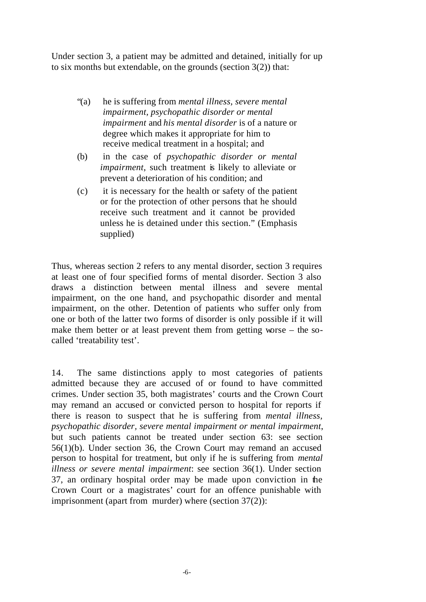Under section 3, a patient may be admitted and detained, initially for up to six months but extendable, on the grounds (section  $3(2)$ ) that:

- "(a) he is suffering from *mental illness, severe mental impairment, psychopathic disorder or mental impairment* and *his mental disorder* is of a nature or degree which makes it appropriate for him to receive medical treatment in a hospital; and
- (b) in the case of *psychopathic disorder or mental impairment*, such treatment is likely to alleviate or prevent a deterioration of his condition; and
- (c) it is necessary for the health or safety of the patient or for the protection of other persons that he should receive such treatment and it cannot be provided unless he is detained under this section." (Emphasis supplied)

Thus, whereas section 2 refers to any mental disorder, section 3 requires at least one of four specified forms of mental disorder. Section 3 also draws a distinction between mental illness and severe mental impairment, on the one hand, and psychopathic disorder and mental impairment, on the other. Detention of patients who suffer only from one or both of the latter two forms of disorder is only possible if it will make them better or at least prevent them from getting worse – the socalled 'treatability test'.

14. The same distinctions apply to most categories of patients admitted because they are accused of or found to have committed crimes. Under section 35, both magistrates' courts and the Crown Court may remand an accused or convicted person to hospital for reports if there is reason to suspect that he is suffering from *mental illness, psychopathic disorder, severe mental impairment or mental impairment*, but such patients cannot be treated under section 63: see section 56(1)(b). Under section 36, the Crown Court may remand an accused person to hospital for treatment, but only if he is suffering from *mental illness or severe mental impairment*: see section 36(1). Under section 37, an ordinary hospital order may be made upon conviction in the Crown Court or a magistrates' court for an offence punishable with imprisonment (apart from murder) where (section 37(2)):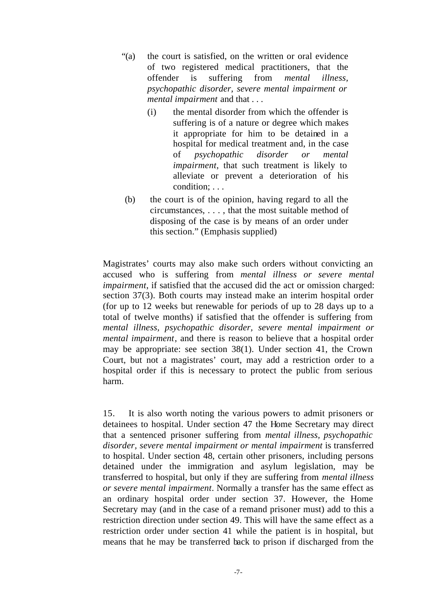- "(a) the court is satisfied, on the written or oral evidence of two registered medical practitioners, that the offender is suffering from *mental illness, psychopathic disorder, severe mental impairment or mental impairment* and that . . .
	- (i) the mental disorder from which the offender is suffering is of a nature or degree which makes it appropriate for him to be detained in a hospital for medical treatment and, in the case of *psychopathic disorder or mental impairment*, that such treatment is likely to alleviate or prevent a deterioration of his condition; . . .
- (b) the court is of the opinion, having regard to all the circumstances, . . . , that the most suitable method of disposing of the case is by means of an order under this section." (Emphasis supplied)

Magistrates' courts may also make such orders without convicting an accused who is suffering from *mental illness or severe mental impairment*, if satisfied that the accused did the act or omission charged: section 37(3). Both courts may instead make an interim hospital order (for up to 12 weeks but renewable for periods of up to 28 days up to a total of twelve months) if satisfied that the offender is suffering from *mental illness, psychopathic disorder, severe mental impairment or mental impairment*, and there is reason to believe that a hospital order may be appropriate: see section 38(1). Under section 41, the Crown Court, but not a magistrates' court, may add a restriction order to a hospital order if this is necessary to protect the public from serious harm.

15. It is also worth noting the various powers to admit prisoners or detainees to hospital. Under section 47 the Home Secretary may direct that a sentenced prisoner suffering from *mental illness, psychopathic disorder, severe mental impairment or mental impairment* is transferred to hospital. Under section 48, certain other prisoners, including persons detained under the immigration and asylum legislation, may be transferred to hospital, but only if they are suffering from *mental illness or severe mental impairment*. Normally a transfer has the same effect as an ordinary hospital order under section 37. However, the Home Secretary may (and in the case of a remand prisoner must) add to this a restriction direction under section 49. This will have the same effect as a restriction order under section 41 while the patient is in hospital, but means that he may be transferred back to prison if discharged from the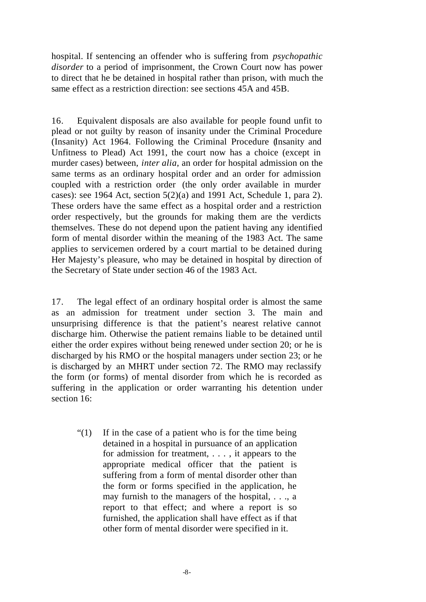hospital. If sentencing an offender who is suffering from *psychopathic disorder* to a period of imprisonment, the Crown Court now has power to direct that he be detained in hospital rather than prison, with much the same effect as a restriction direction: see sections 45A and 45B.

16. Equivalent disposals are also available for people found unfit to plead or not guilty by reason of insanity under the Criminal Procedure (Insanity) Act 1964. Following the Criminal Procedure (Insanity and Unfitness to Plead) Act 1991, the court now has a choice (except in murder cases) between, *inter alia*, an order for hospital admission on the same terms as an ordinary hospital order and an order for admission coupled with a restriction order (the only order available in murder cases): see 1964 Act, section 5(2)(a) and 1991 Act, Schedule 1, para 2). These orders have the same effect as a hospital order and a restriction order respectively, but the grounds for making them are the verdicts themselves. These do not depend upon the patient having any identified form of mental disorder within the meaning of the 1983 Act. The same applies to servicemen ordered by a court martial to be detained during Her Majesty's pleasure, who may be detained in hospital by direction of the Secretary of State under section 46 of the 1983 Act.

17. The legal effect of an ordinary hospital order is almost the same as an admission for treatment under section 3. The main and unsurprising difference is that the patient's nearest relative cannot discharge him. Otherwise the patient remains liable to be detained until either the order expires without being renewed under section 20; or he is discharged by his RMO or the hospital managers under section 23; or he is discharged by an MHRT under section 72. The RMO may reclassify the form (or forms) of mental disorder from which he is recorded as suffering in the application or order warranting his detention under section 16:

"(1) If in the case of a patient who is for the time being detained in a hospital in pursuance of an application for admission for treatment, . . . , it appears to the appropriate medical officer that the patient is suffering from a form of mental disorder other than the form or forms specified in the application, he may furnish to the managers of the hospital, . . ., a report to that effect; and where a report is so furnished, the application shall have effect as if that other form of mental disorder were specified in it.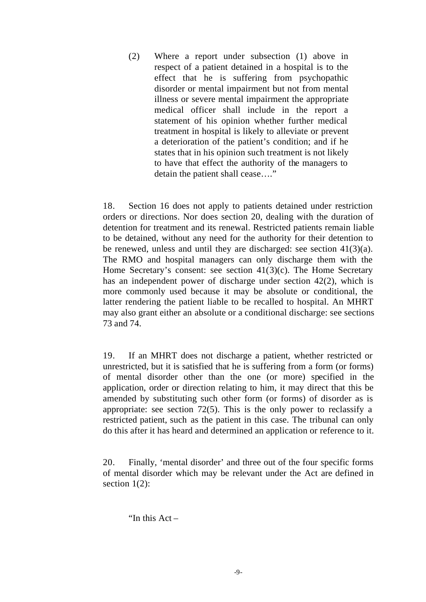(2) Where a report under subsection (1) above in respect of a patient detained in a hospital is to the effect that he is suffering from psychopathic disorder or mental impairment but not from mental illness or severe mental impairment the appropriate medical officer shall include in the report a statement of his opinion whether further medical treatment in hospital is likely to alleviate or prevent a deterioration of the patient's condition; and if he states that in his opinion such treatment is not likely to have that effect the authority of the managers to detain the patient shall cease…."

18. Section 16 does not apply to patients detained under restriction orders or directions. Nor does section 20, dealing with the duration of detention for treatment and its renewal. Restricted patients remain liable to be detained, without any need for the authority for their detention to be renewed, unless and until they are discharged: see section 41(3)(a). The RMO and hospital managers can only discharge them with the Home Secretary's consent: see section 41(3)(c). The Home Secretary has an independent power of discharge under section 42(2), which is more commonly used because it may be absolute or conditional, the latter rendering the patient liable to be recalled to hospital. An MHRT may also grant either an absolute or a conditional discharge: see sections 73 and 74.

19. If an MHRT does not discharge a patient, whether restricted or unrestricted, but it is satisfied that he is suffering from a form (or forms) of mental disorder other than the one (or more) specified in the application, order or direction relating to him, it may direct that this be amended by substituting such other form (or forms) of disorder as is appropriate: see section 72(5). This is the only power to reclassify a restricted patient, such as the patient in this case. The tribunal can only do this after it has heard and determined an application or reference to it.

20. Finally, 'mental disorder' and three out of the four specific forms of mental disorder which may be relevant under the Act are defined in section 1(2):

"In this Act –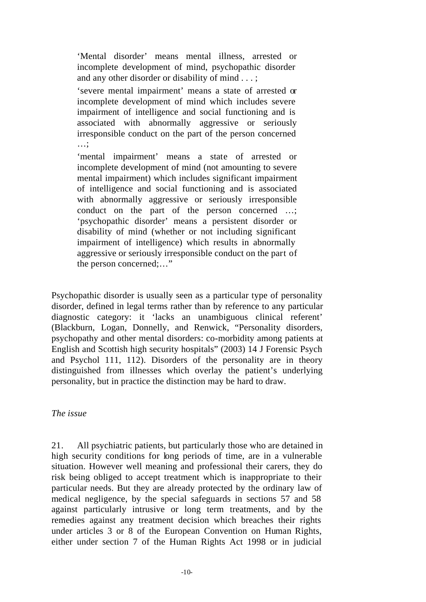'Mental disorder' means mental illness, arrested or incomplete development of mind, psychopathic disorder and any other disorder or disability of mind . . . ;

'severe mental impairment' means a state of arrested or incomplete development of mind which includes severe impairment of intelligence and social functioning and is associated with abnormally aggressive or seriously irresponsible conduct on the part of the person concerned …;

'mental impairment' means a state of arrested or incomplete development of mind (not amounting to severe mental impairment) which includes significant impairment of intelligence and social functioning and is associated with abnormally aggressive or seriously irresponsible conduct on the part of the person concerned …; 'psychopathic disorder' means a persistent disorder or disability of mind (whether or not including significant impairment of intelligence) which results in abnormally aggressive or seriously irresponsible conduct on the part of the person concerned;…"

Psychopathic disorder is usually seen as a particular type of personality disorder, defined in legal terms rather than by reference to any particular diagnostic category: it 'lacks an unambiguous clinical referent' (Blackburn, Logan, Donnelly, and Renwick, "Personality disorders, psychopathy and other mental disorders: co-morbidity among patients at English and Scottish high security hospitals" (2003) 14 J Forensic Psych and Psychol 111, 112). Disorders of the personality are in theory distinguished from illnesses which overlay the patient's underlying personality, but in practice the distinction may be hard to draw.

### *The issue*

21. All psychiatric patients, but particularly those who are detained in high security conditions for long periods of time, are in a vulnerable situation. However well meaning and professional their carers, they do risk being obliged to accept treatment which is inappropriate to their particular needs. But they are already protected by the ordinary law of medical negligence, by the special safeguards in sections 57 and 58 against particularly intrusive or long term treatments, and by the remedies against any treatment decision which breaches their rights under articles 3 or 8 of the European Convention on Human Rights, either under section 7 of the Human Rights Act 1998 or in judicial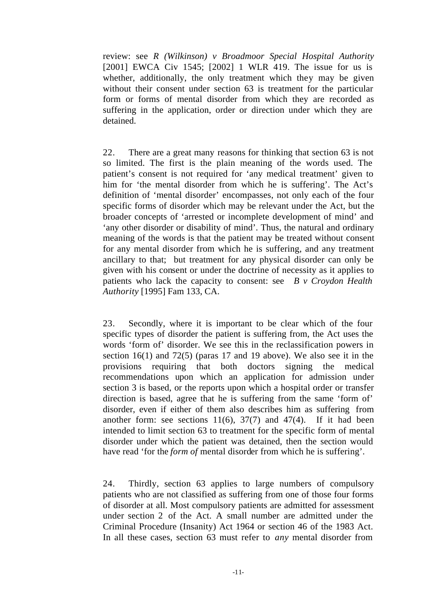review: see *R (Wilkinson) v Broadmoor Special Hospital Authority* [2001] EWCA Civ 1545; [2002] 1 WLR 419. The issue for us is whether, additionally, the only treatment which they may be given without their consent under section 63 is treatment for the particular form or forms of mental disorder from which they are recorded as suffering in the application, order or direction under which they are detained.

22. There are a great many reasons for thinking that section 63 is not so limited. The first is the plain meaning of the words used. The patient's consent is not required for 'any medical treatment' given to him for 'the mental disorder from which he is suffering'. The Act's definition of 'mental disorder' encompasses, not only each of the four specific forms of disorder which may be relevant under the Act, but the broader concepts of 'arrested or incomplete development of mind' and 'any other disorder or disability of mind'. Thus, the natural and ordinary meaning of the words is that the patient may be treated without consent for any mental disorder from which he is suffering, and any treatment ancillary to that; but treatment for any physical disorder can only be given with his consent or under the doctrine of necessity as it applies to patients who lack the capacity to consent: see *B v Croydon Health Authority* [1995] Fam 133, CA.

23. Secondly, where it is important to be clear which of the four specific types of disorder the patient is suffering from, the Act uses the words 'form of' disorder. We see this in the reclassification powers in section 16(1) and 72(5) (paras 17 and 19 above). We also see it in the provisions requiring that both doctors signing the medical recommendations upon which an application for admission under section 3 is based, or the reports upon which a hospital order or transfer direction is based, agree that he is suffering from the same 'form of' disorder, even if either of them also describes him as suffering from another form: see sections  $11(6)$ ,  $37(7)$  and  $47(4)$ . If it had been intended to limit section 63 to treatment for the specific form of mental disorder under which the patient was detained, then the section would have read 'for the *form of* mental disorder from which he is suffering'.

24. Thirdly, section 63 applies to large numbers of compulsory patients who are not classified as suffering from one of those four forms of disorder at all. Most compulsory patients are admitted for assessment under section 2 of the Act. A small number are admitted under the Criminal Procedure (Insanity) Act 1964 or section 46 of the 1983 Act. In all these cases, section 63 must refer to *any* mental disorder from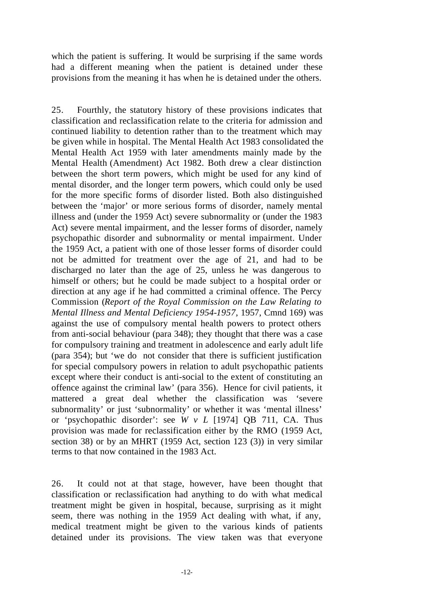which the patient is suffering. It would be surprising if the same words had a different meaning when the patient is detained under these provisions from the meaning it has when he is detained under the others.

25. Fourthly, the statutory history of these provisions indicates that classification and reclassification relate to the criteria for admission and continued liability to detention rather than to the treatment which may be given while in hospital. The Mental Health Act 1983 consolidated the Mental Health Act 1959 with later amendments mainly made by the Mental Health (Amendment) Act 1982. Both drew a clear distinction between the short term powers, which might be used for any kind of mental disorder, and the longer term powers, which could only be used for the more specific forms of disorder listed. Both also distinguished between the 'major' or more serious forms of disorder, namely mental illness and (under the 1959 Act) severe subnormality or (under the 1983 Act) severe mental impairment, and the lesser forms of disorder, namely psychopathic disorder and subnormality or mental impairment. Under the 1959 Act, a patient with one of those lesser forms of disorder could not be admitted for treatment over the age of 21, and had to be discharged no later than the age of 25, unless he was dangerous to himself or others; but he could be made subject to a hospital order or direction at any age if he had committed a criminal offence. The Percy Commission (*Report of the Royal Commission on the Law Relating to Mental Illness and Mental Deficiency 1954-1957*, 1957, Cmnd 169) was against the use of compulsory mental health powers to protect others from anti-social behaviour (para 348); they thought that there was a case for compulsory training and treatment in adolescence and early adult life (para 354); but 'we do not consider that there is sufficient justification for special compulsory powers in relation to adult psychopathic patients except where their conduct is anti-social to the extent of constituting an offence against the criminal law' (para 356). Hence for civil patients, it mattered a great deal whether the classification was 'severe subnormality' or just 'subnormality' or whether it was 'mental illness' or 'psychopathic disorder': see *W v L* [1974] QB 711, CA. Thus provision was made for reclassification either by the RMO (1959 Act, section 38) or by an MHRT (1959 Act, section 123 (3)) in very similar terms to that now contained in the 1983 Act.

26. It could not at that stage, however, have been thought that classification or reclassification had anything to do with what medical treatment might be given in hospital, because, surprising as it might seem, there was nothing in the 1959 Act dealing with what, if any, medical treatment might be given to the various kinds of patients detained under its provisions. The view taken was that everyone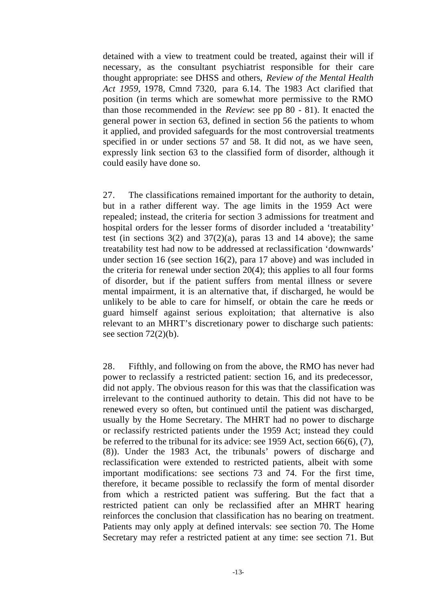detained with a view to treatment could be treated, against their will if necessary, as the consultant psychiatrist responsible for their care thought appropriate: see DHSS and others, *Review of the Mental Health Act 1959*, 1978, Cmnd 7320, para 6.14. The 1983 Act clarified that position (in terms which are somewhat more permissive to the RMO than those recommended in the *Review*: see pp 80 - 81). It enacted the general power in section 63, defined in section 56 the patients to whom it applied, and provided safeguards for the most controversial treatments specified in or under sections 57 and 58. It did not, as we have seen, expressly link section 63 to the classified form of disorder, although it could easily have done so.

27. The classifications remained important for the authority to detain, but in a rather different way. The age limits in the 1959 Act were repealed; instead, the criteria for section 3 admissions for treatment and hospital orders for the lesser forms of disorder included a 'treatability' test (in sections  $3(2)$  and  $37(2)(a)$ , paras 13 and 14 above); the same treatability test had now to be addressed at reclassification 'downwards' under section 16 (see section 16(2), para 17 above) and was included in the criteria for renewal under section 20(4); this applies to all four forms of disorder, but if the patient suffers from mental illness or severe mental impairment, it is an alternative that, if discharged, he would be unlikely to be able to care for himself, or obtain the care he needs or guard himself against serious exploitation; that alternative is also relevant to an MHRT's discretionary power to discharge such patients: see section  $72(2)(b)$ .

28. Fifthly, and following on from the above, the RMO has never had power to reclassify a restricted patient: section 16, and its predecessor, did not apply. The obvious reason for this was that the classification was irrelevant to the continued authority to detain. This did not have to be renewed every so often, but continued until the patient was discharged, usually by the Home Secretary. The MHRT had no power to discharge or reclassify restricted patients under the 1959 Act; instead they could be referred to the tribunal for its advice: see 1959 Act, section 66(6), (7), (8)). Under the 1983 Act, the tribunals' powers of discharge and reclassification were extended to restricted patients, albeit with some important modifications: see sections 73 and 74. For the first time, therefore, it became possible to reclassify the form of mental disorder from which a restricted patient was suffering. But the fact that a restricted patient can only be reclassified after an MHRT hearing reinforces the conclusion that classification has no bearing on treatment. Patients may only apply at defined intervals: see section 70. The Home Secretary may refer a restricted patient at any time: see section 71. But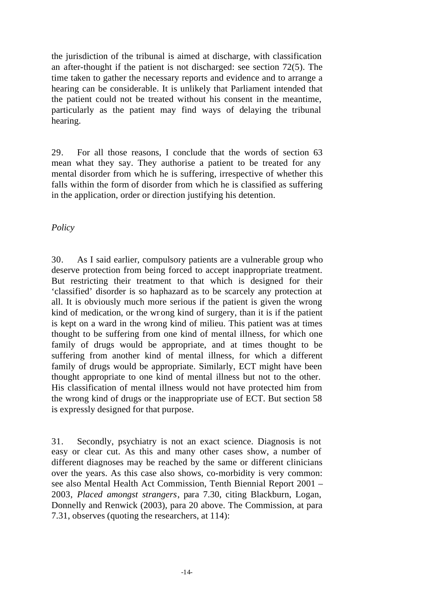the jurisdiction of the tribunal is aimed at discharge, with classification an after-thought if the patient is not discharged: see section 72(5). The time taken to gather the necessary reports and evidence and to arrange a hearing can be considerable. It is unlikely that Parliament intended that the patient could not be treated without his consent in the meantime, particularly as the patient may find ways of delaying the tribunal hearing.

29. For all those reasons, I conclude that the words of section 63 mean what they say. They authorise a patient to be treated for any mental disorder from which he is suffering, irrespective of whether this falls within the form of disorder from which he is classified as suffering in the application, order or direction justifying his detention.

*Policy*

30. As I said earlier, compulsory patients are a vulnerable group who deserve protection from being forced to accept inappropriate treatment. But restricting their treatment to that which is designed for their 'classified' disorder is so haphazard as to be scarcely any protection at all. It is obviously much more serious if the patient is given the wrong kind of medication, or the wrong kind of surgery, than it is if the patient is kept on a ward in the wrong kind of milieu. This patient was at times thought to be suffering from one kind of mental illness, for which one family of drugs would be appropriate, and at times thought to be suffering from another kind of mental illness, for which a different family of drugs would be appropriate. Similarly, ECT might have been thought appropriate to one kind of mental illness but not to the other. His classification of mental illness would not have protected him from the wrong kind of drugs or the inappropriate use of ECT. But section 58 is expressly designed for that purpose.

31. Secondly, psychiatry is not an exact science. Diagnosis is not easy or clear cut. As this and many other cases show, a number of different diagnoses may be reached by the same or different clinicians over the years. As this case also shows, co-morbidity is very common: see also Mental Health Act Commission, Tenth Biennial Report 2001 – 2003, *Placed amongst strangers*, para 7.30, citing Blackburn, Logan, Donnelly and Renwick (2003), para 20 above. The Commission, at para 7.31, observes (quoting the researchers, at 114):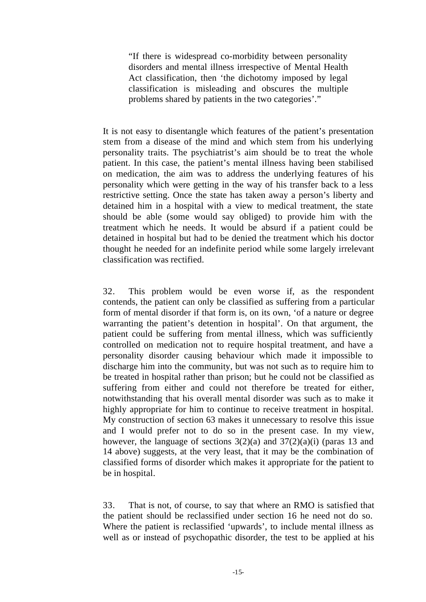"If there is widespread co-morbidity between personality disorders and mental illness irrespective of Mental Health Act classification, then 'the dichotomy imposed by legal classification is misleading and obscures the multiple problems shared by patients in the two categories'."

It is not easy to disentangle which features of the patient's presentation stem from a disease of the mind and which stem from his underlying personality traits. The psychiatrist's aim should be to treat the whole patient. In this case, the patient's mental illness having been stabilised on medication, the aim was to address the underlying features of his personality which were getting in the way of his transfer back to a less restrictive setting. Once the state has taken away a person's liberty and detained him in a hospital with a view to medical treatment, the state should be able (some would say obliged) to provide him with the treatment which he needs. It would be absurd if a patient could be detained in hospital but had to be denied the treatment which his doctor thought he needed for an indefinite period while some largely irrelevant classification was rectified.

32. This problem would be even worse if, as the respondent contends, the patient can only be classified as suffering from a particular form of mental disorder if that form is, on its own, 'of a nature or degree warranting the patient's detention in hospital'. On that argument, the patient could be suffering from mental illness, which was sufficiently controlled on medication not to require hospital treatment, and have a personality disorder causing behaviour which made it impossible to discharge him into the community, but was not such as to require him to be treated in hospital rather than prison; but he could not be classified as suffering from either and could not therefore be treated for either, notwithstanding that his overall mental disorder was such as to make it highly appropriate for him to continue to receive treatment in hospital. My construction of section 63 makes it unnecessary to resolve this issue and I would prefer not to do so in the present case. In my view, however, the language of sections  $3(2)(a)$  and  $37(2)(a)(i)$  (paras 13 and 14 above) suggests, at the very least, that it may be the combination of classified forms of disorder which makes it appropriate for the patient to be in hospital.

33. That is not, of course, to say that where an RMO is satisfied that the patient should be reclassified under section 16 he need not do so. Where the patient is reclassified 'upwards', to include mental illness as well as or instead of psychopathic disorder, the test to be applied at his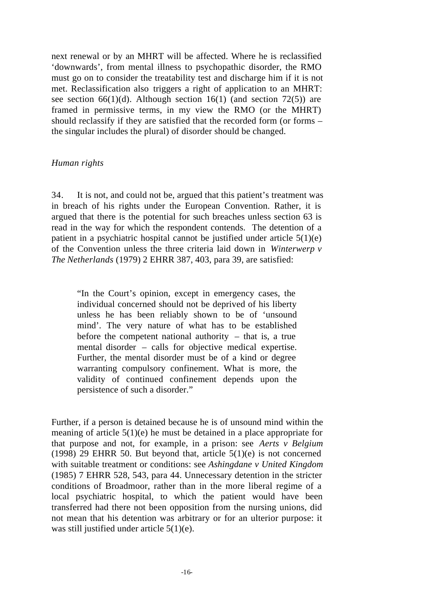next renewal or by an MHRT will be affected. Where he is reclassified 'downwards', from mental illness to psychopathic disorder, the RMO must go on to consider the treatability test and discharge him if it is not met. Reclassification also triggers a right of application to an MHRT: see section 66(1)(d). Although section 16(1) (and section 72(5)) are framed in permissive terms, in my view the RMO (or the MHRT) should reclassify if they are satisfied that the recorded form (or forms – the singular includes the plural) of disorder should be changed.

## *Human rights*

34. It is not, and could not be, argued that this patient's treatment was in breach of his rights under the European Convention. Rather, it is argued that there is the potential for such breaches unless section 63 is read in the way for which the respondent contends. The detention of a patient in a psychiatric hospital cannot be justified under article 5(1)(e) of the Convention unless the three criteria laid down in *Winterwerp v The Netherlands* (1979) 2 EHRR 387, 403, para 39, are satisfied:

"In the Court's opinion, except in emergency cases, the individual concerned should not be deprived of his liberty unless he has been reliably shown to be of 'unsound mind'. The very nature of what has to be established before the competent national authority  $-$  that is, a true mental disorder – calls for objective medical expertise. Further, the mental disorder must be of a kind or degree warranting compulsory confinement. What is more, the validity of continued confinement depends upon the persistence of such a disorder."

Further, if a person is detained because he is of unsound mind within the meaning of article 5(1)(e) he must be detained in a place appropriate for that purpose and not, for example, in a prison: see *Aerts v Belgium* (1998) 29 EHRR 50. But beyond that, article  $5(1)(e)$  is not concerned with suitable treatment or conditions: see *Ashingdane v United Kingdom* (1985) 7 EHRR 528, 543, para 44. Unnecessary detention in the stricter conditions of Broadmoor, rather than in the more liberal regime of a local psychiatric hospital, to which the patient would have been transferred had there not been opposition from the nursing unions, did not mean that his detention was arbitrary or for an ulterior purpose: it was still justified under article 5(1)(e).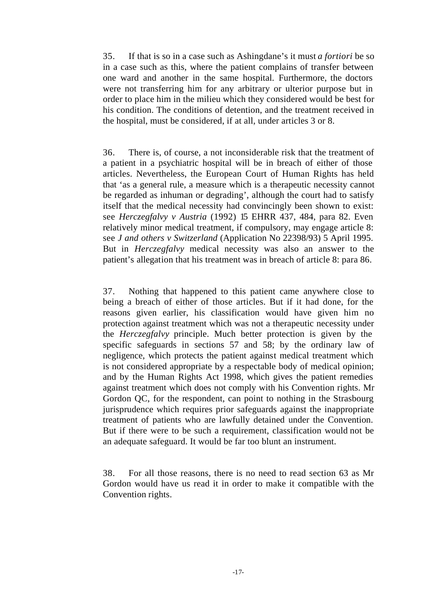35. If that is so in a case such as Ashingdane's it must *a fortiori* be so in a case such as this, where the patient complains of transfer between one ward and another in the same hospital. Furthermore, the doctors were not transferring him for any arbitrary or ulterior purpose but in order to place him in the milieu which they considered would be best for his condition. The conditions of detention, and the treatment received in the hospital, must be considered, if at all, under articles 3 or 8.

36. There is, of course, a not inconsiderable risk that the treatment of a patient in a psychiatric hospital will be in breach of either of those articles. Nevertheless, the European Court of Human Rights has held that 'as a general rule, a measure which is a therapeutic necessity cannot be regarded as inhuman or degrading', although the court had to satisfy itself that the medical necessity had convincingly been shown to exist: see *Herczegfalvy v Austria* (1992) 15 EHRR 437, 484, para 82. Even relatively minor medical treatment, if compulsory, may engage article 8: see *J and others v Switzerland* (Application No 22398/93) 5 April 1995. But in *Herczegfalvy* medical necessity was also an answer to the patient's allegation that his treatment was in breach of article 8: para 86.

37. Nothing that happened to this patient came anywhere close to being a breach of either of those articles. But if it had done, for the reasons given earlier, his classification would have given him no protection against treatment which was not a therapeutic necessity under the *Herczegfalvy* principle. Much better protection is given by the specific safeguards in sections 57 and 58; by the ordinary law of negligence, which protects the patient against medical treatment which is not considered appropriate by a respectable body of medical opinion; and by the Human Rights Act 1998, which gives the patient remedies against treatment which does not comply with his Convention rights. Mr Gordon QC, for the respondent, can point to nothing in the Strasbourg jurisprudence which requires prior safeguards against the inappropriate treatment of patients who are lawfully detained under the Convention. But if there were to be such a requirement, classification would not be an adequate safeguard. It would be far too blunt an instrument.

38. For all those reasons, there is no need to read section 63 as Mr Gordon would have us read it in order to make it compatible with the Convention rights.